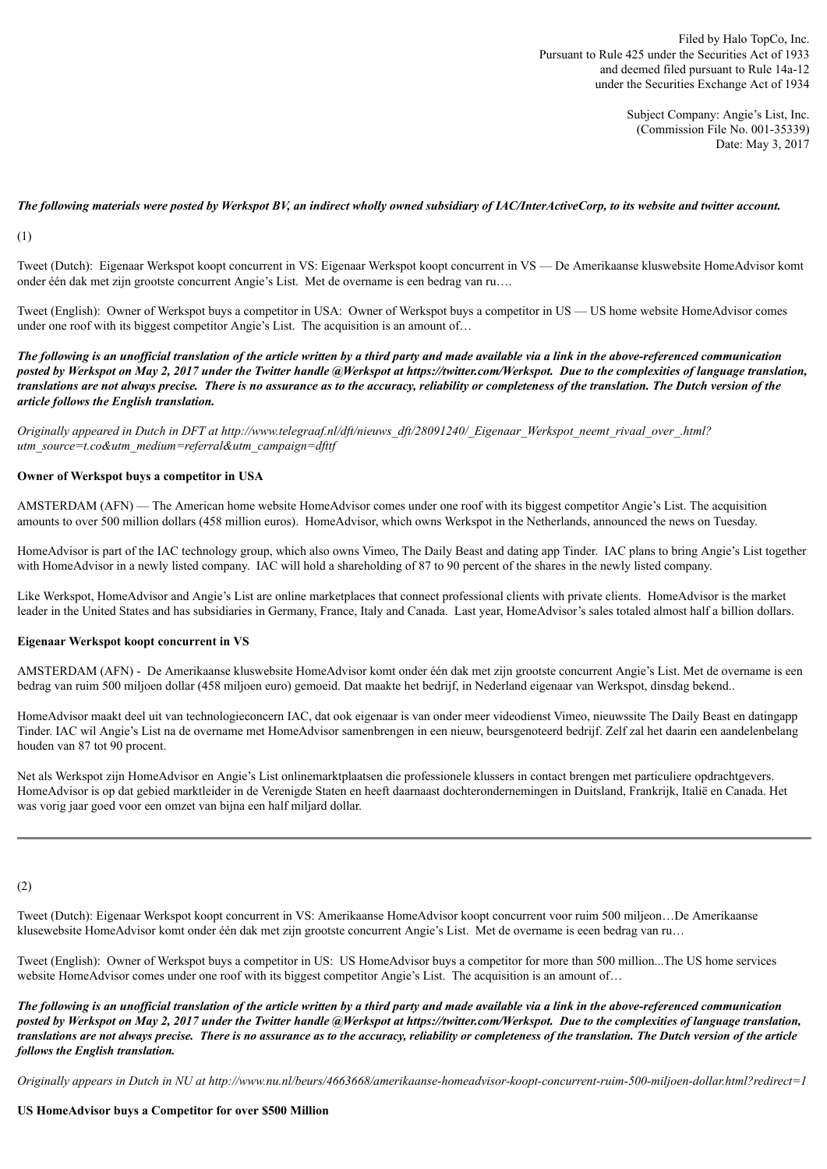Subject Company: Angie's List, Inc. (Commission File No. 001-35339) Date: May 3, 2017

### The following materials were posted by Werkspot BV, an indirect wholly owned subsidiary of IAC/InterActiveCorp, to its website and twitter account.

(1)

Tweet (Dutch): Eigenaar Werkspot koopt concurrent in VS: Eigenaar Werkspot koopt concurrent in VS — De Amerikaanse kluswebsite HomeAdvisor komt onder één dak met zijn grootste concurrent Angie's List. Met de overname is een bedrag van ru….

Tweet (English): Owner of Werkspot buys a competitor in USA: Owner of Werkspot buys a competitor in US — US home website HomeAdvisor comes under one roof with its biggest competitor Angie's List. The acquisition is an amount of...

The following is an unofficial translation of the article written by a third party and made available via a link in the above-referenced communication posted by Werkspot on May 2, 2017 under the Twitter handle @Werkspot at https://twitter.com/Werkspot. Due to the complexities of language translation, translations are not always precise. There is no assurance as to the accuracy, reliability or completeness of the translation. The Dutch version of the *article follows the English translation.*

*Originally appeared in Dutch in DFT at http://www.telegraaf.nl/dft/nieuws\_dft/28091240/\_Eigenaar\_Werkspot\_neemt\_rivaal\_over\_.html? utm\_source=t.co&utm\_medium=referral&utm\_campaign=dfttf*

#### **Owner of Werkspot buys a competitor in USA**

AMSTERDAM (AFN) — The American home website HomeAdvisor comes under one roof with its biggest competitor Angie's List. The acquisition amounts to over 500 million dollars (458 million euros). HomeAdvisor, which owns Werkspot in the Netherlands, announced the news on Tuesday.

HomeAdvisor is part of the IAC technology group, which also owns Vimeo, The Daily Beast and dating app Tinder. IAC plans to bring Angie's List together with HomeAdvisor in a newly listed company. IAC will hold a shareholding of 87 to 90 percent of the shares in the newly listed company.

Like Werkspot, HomeAdvisor and Angie's List are online marketplaces that connect professional clients with private clients. HomeAdvisor is the market leader in the United States and has subsidiaries in Germany, France, Italy and Canada. Last year, HomeAdvisor's sales totaled almost half a billion dollars.

# **Eigenaar Werkspot koopt concurrent in VS**

AMSTERDAM (AFN) - De Amerikaanse kluswebsite HomeAdvisor komt onder één dak met zijn grootste concurrent Angie's List. Met de overname is een bedrag van ruim 500 miljoen dollar (458 miljoen euro) gemoeid. Dat maakte het bedrijf, in Nederland eigenaar van Werkspot, dinsdag bekend..

HomeAdvisor maakt deel uit van technologieconcern IAC, dat ook eigenaar is van onder meer videodienst Vimeo, nieuwssite The Daily Beast en datingapp Tinder. IAC wil Angie's List na de overname met HomeAdvisor samenbrengen in een nieuw, beursgenoteerd bedrijf. Zelf zal het daarin een aandelenbelang houden van 87 tot 90 procent.

Net als Werkspot zijn HomeAdvisor en Angie's List onlinemarktplaatsen die professionele klussers in contact brengen met particuliere opdrachtgevers. HomeAdvisor is op dat gebied marktleider in de Verenigde Staten en heeft daarnaast dochterondernemingen in Duitsland, Frankrijk, Italië en Canada. Het was vorig jaar goed voor een omzet van bijna een half miljard dollar.

(2)

Tweet (Dutch): Eigenaar Werkspot koopt concurrent in VS: Amerikaanse HomeAdvisor koopt concurrent voor ruim 500 miljeon…De Amerikaanse klusewebsite HomeAdvisor komt onder één dak met zijn grootste concurrent Angie's List. Met de overname is eeen bedrag van ru…

Tweet (English): Owner of Werkspot buys a competitor in US: US HomeAdvisor buys a competitor for more than 500 million...The US home services website HomeAdvisor comes under one roof with its biggest competitor Angie's List. The acquisition is an amount of...

The following is an unofficial translation of the article written by a third party and made available via a link in the above-referenced communication posted by Werkspot on May 2, 2017 under the Twitter handle @Werkspot at https://twitter.com/Werkspot. Due to the complexities of language translation, *translations are not always precise. There is no assurance as to the accuracy, reliability or completeness of the translation. The Dutch version of the article follows the English translation.*

*Originally appears in Dutch in NU at http://www.nu.nl/beurs/4663668/amerikaanse-homeadvisor-koopt-concurrent-ruim-500-miljoen-dollar.html?redirect=1*

#### **US HomeAdvisor buys a Competitor for over \$500 Million**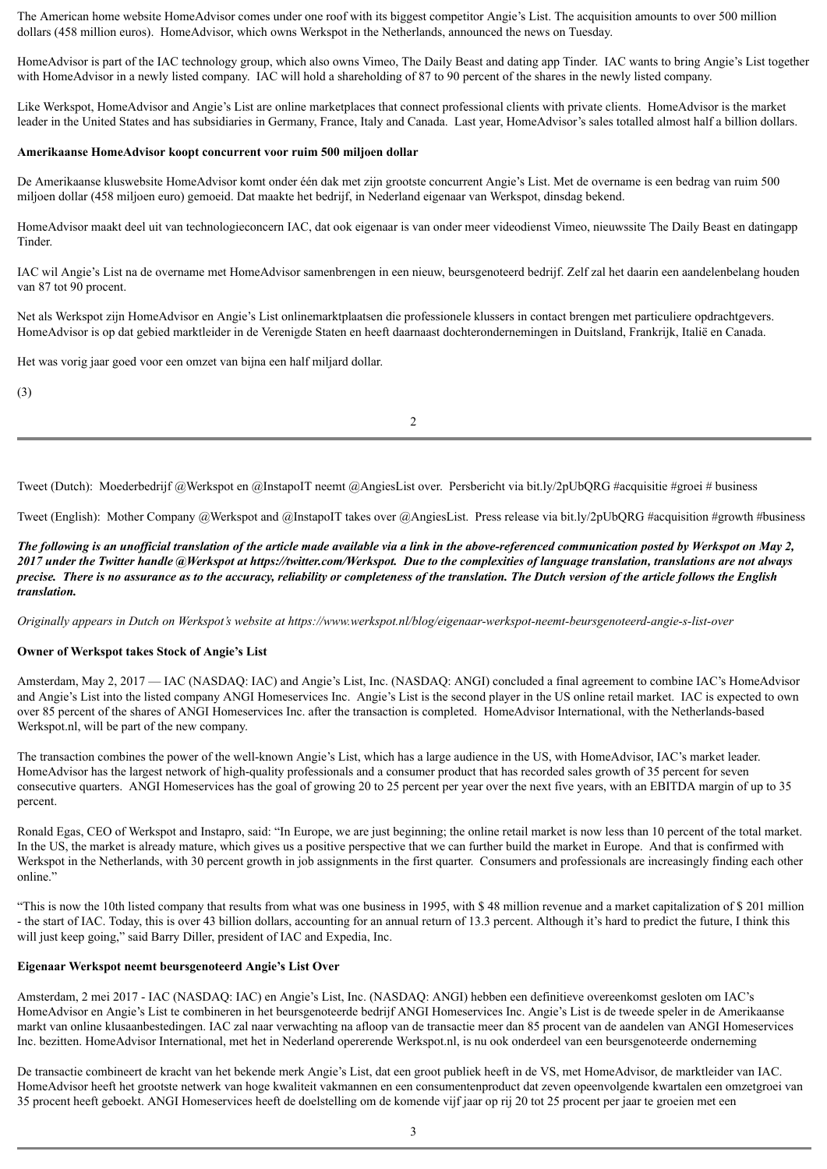The American home website HomeAdvisor comes under one roof with its biggest competitor Angie's List. The acquisition amounts to over 500 million dollars (458 million euros). HomeAdvisor, which owns Werkspot in the Netherlands, announced the news on Tuesday.

HomeAdvisor is part of the IAC technology group, which also owns Vimeo, The Daily Beast and dating app Tinder. IAC wants to bring Angie's List together with HomeAdvisor in a newly listed company. IAC will hold a shareholding of 87 to 90 percent of the shares in the newly listed company.

Like Werkspot, HomeAdvisor and Angie's List are online marketplaces that connect professional clients with private clients. HomeAdvisor is the market leader in the United States and has subsidiaries in Germany, France, Italy and Canada. Last year, HomeAdvisor's sales totalled almost half a billion dollars.

# **Amerikaanse HomeAdvisor koopt concurrent voor ruim 500 miljoen dollar**

De Amerikaanse kluswebsite HomeAdvisor komt onder één dak met zijn grootste concurrent Angie's List. Met de overname is een bedrag van ruim 500 miljoen dollar (458 miljoen euro) gemoeid. Dat maakte het bedrijf, in Nederland eigenaar van Werkspot, dinsdag bekend.

HomeAdvisor maakt deel uit van technologieconcern IAC, dat ook eigenaar is van onder meer videodienst Vimeo, nieuwssite The Daily Beast en datingapp **Tinder** 

IAC wil Angie's List na de overname met HomeAdvisor samenbrengen in een nieuw, beursgenoteerd bedrijf. Zelf zal het daarin een aandelenbelang houden van 87 tot 90 procent.

Net als Werkspot zijn HomeAdvisor en Angie's List onlinemarktplaatsen die professionele klussers in contact brengen met particuliere opdrachtgevers. HomeAdvisor is op dat gebied marktleider in de Verenigde Staten en heeft daarnaast dochterondernemingen in Duitsland, Frankrijk, Italië en Canada.

Het was vorig jaar goed voor een omzet van bijna een half miljard dollar.

(3)

2

Tweet (Dutch): Moederbedrijf @Werkspot en @InstapoIT neemt @AngiesList over. Persbericht via bit.ly/2pUbQRG #acquisitie #groei # business

Tweet (English): Mother Company @Werkspot and @InstapoIT takes over @AngiesList. Press release via bit.ly/2pUbQRG #acquisition #growth #business

The following is an unofficial translation of the article made available via a link in the above-referenced communication posted by Werkspot on May 2, 2017 under the Twitter handle @Werkspot at https://twitter.com/Werkspot. Due to the complexities of language translation, translations are not always precise. There is no assurance as to the accuracy, reliability or completeness of the translation. The Dutch version of the article follows the English *translation.*

*Originally appears in Dutch on Werkspot's website at https://www.werkspot.nl/blog/eigenaar-werkspot-neemt-beursgenoteerd-angie-s-list-over*

# **Owner of Werkspot takes Stock of Angie's List**

Amsterdam, May 2, 2017 — IAC (NASDAQ: IAC) and Angie's List, Inc. (NASDAQ: ANGI) concluded a final agreement to combine IAC's HomeAdvisor and Angie's List into the listed company ANGI Homeservices Inc. Angie's List is the second player in the US online retail market. IAC is expected to own over 85 percent of the shares of ANGI Homeservices Inc. after the transaction is completed. HomeAdvisor International, with the Netherlands-based Werkspot.nl, will be part of the new company.

The transaction combines the power of the well-known Angie's List, which has a large audience in the US, with HomeAdvisor, IAC's market leader. HomeAdvisor has the largest network of high-quality professionals and a consumer product that has recorded sales growth of 35 percent for seven consecutive quarters. ANGI Homeservices has the goal of growing 20 to 25 percent per year over the next five years, with an EBITDA margin of up to 35 percent.

Ronald Egas, CEO of Werkspot and Instapro, said: "In Europe, we are just beginning; the online retail market is now less than 10 percent of the total market. In the US, the market is already mature, which gives us a positive perspective that we can further build the market in Europe. And that is confirmed with Werkspot in the Netherlands, with 30 percent growth in job assignments in the first quarter. Consumers and professionals are increasingly finding each other online."

"This is now the 10th listed company that results from what was one business in 1995, with \$ 48 million revenue and a market capitalization of \$ 201 million - the start of IAC. Today, this is over 43 billion dollars, accounting for an annual return of 13.3 percent. Although it's hard to predict the future, I think this will just keep going," said Barry Diller, president of IAC and Expedia, Inc.

# **Eigenaar Werkspot neemt beursgenoteerd Angie's List Over**

Amsterdam, 2 mei 2017 - IAC (NASDAQ: IAC) en Angie's List, Inc. (NASDAQ: ANGI) hebben een definitieve overeenkomst gesloten om IAC's HomeAdvisor en Angie's List te combineren in het beursgenoteerde bedrijf ANGI Homeservices Inc. Angie's List is de tweede speler in de Amerikaanse markt van online klusaanbestedingen. IAC zal naar verwachting na afloop van de transactie meer dan 85 procent van de aandelen van ANGI Homeservices Inc. bezitten. HomeAdvisor International, met het in Nederland opererende Werkspot.nl, is nu ook onderdeel van een beursgenoteerde onderneming

De transactie combineert de kracht van het bekende merk Angie's List, dat een groot publiek heeft in de VS, met HomeAdvisor, de marktleider van IAC. HomeAdvisor heeft het grootste netwerk van hoge kwaliteit vakmannen en een consumentenproduct dat zeven opeenvolgende kwartalen een omzetgroei van 35 procent heeft geboekt. ANGI Homeservices heeft de doelstelling om de komende vijf jaar op rij 20 tot 25 procent per jaar te groeien met een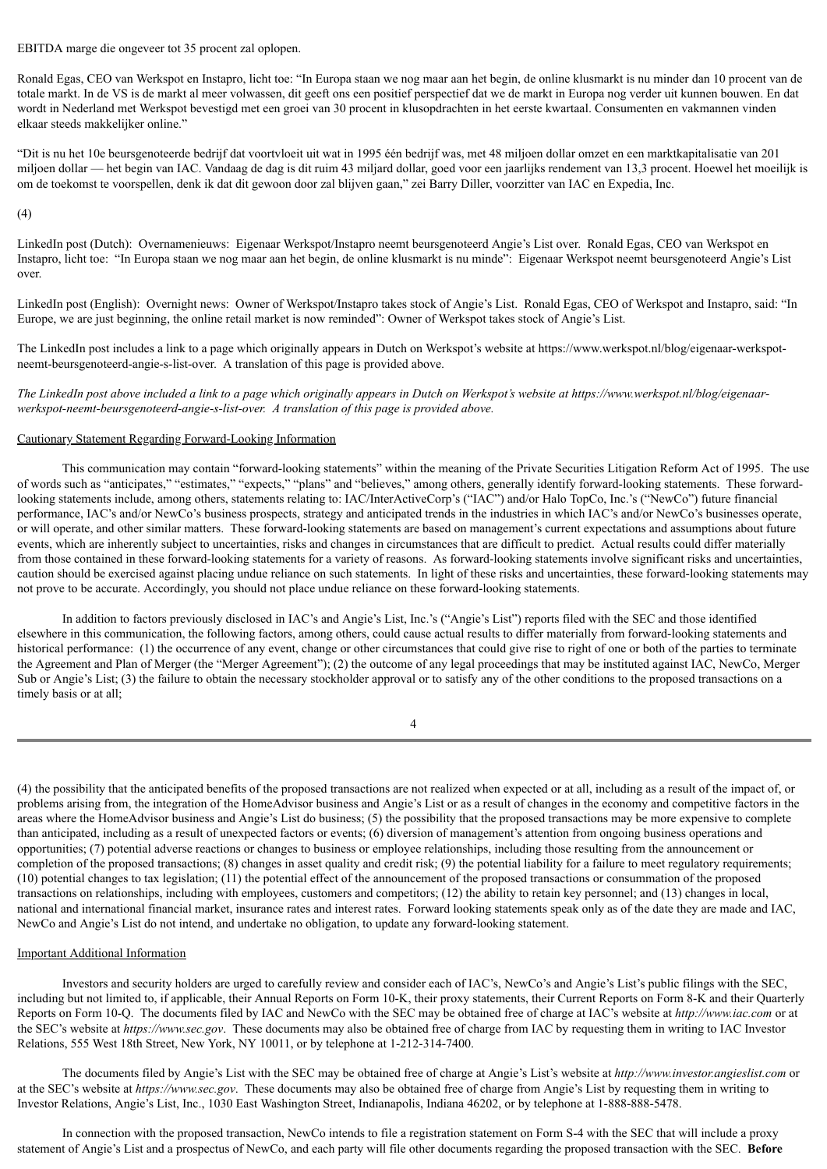EBITDA marge die ongeveer tot 35 procent zal oplopen.

Ronald Egas, CEO van Werkspot en Instapro, licht toe: "In Europa staan we nog maar aan het begin, de online klusmarkt is nu minder dan 10 procent van de totale markt. In de VS is de markt al meer volwassen, dit geeft ons een positief perspectief dat we de markt in Europa nog verder uit kunnen bouwen. En dat wordt in Nederland met Werkspot bevestigd met een groei van 30 procent in klusopdrachten in het eerste kwartaal. Consumenten en vakmannen vinden elkaar steeds makkelijker online."

"Dit is nu het 10e beursgenoteerde bedrijf dat voortvloeit uit wat in 1995 één bedrijf was, met 48 miljoen dollar omzet en een marktkapitalisatie van 201 miljoen dollar — het begin van IAC. Vandaag de dag is dit ruim 43 miljard dollar, goed voor een jaarlijks rendement van 13,3 procent. Hoewel het moeilijk is om de toekomst te voorspellen, denk ik dat dit gewoon door zal blijven gaan," zei Barry Diller, voorzitter van IAC en Expedia, Inc.

(4)

LinkedIn post (Dutch): Overnamenieuws: Eigenaar Werkspot/Instapro neemt beursgenoteerd Angie's List over. Ronald Egas, CEO van Werkspot en Instapro, licht toe: "In Europa staan we nog maar aan het begin, de online klusmarkt is nu minde": Eigenaar Werkspot neemt beursgenoteerd Angie's List over.

LinkedIn post (English): Overnight news: Owner of Werkspot/Instapro takes stock of Angie's List. Ronald Egas, CEO of Werkspot and Instapro, said: "In Europe, we are just beginning, the online retail market is now reminded": Owner of Werkspot takes stock of Angie's List.

The LinkedIn post includes a link to a page which originally appears in Dutch on Werkspot's website at https://www.werkspot.nl/blog/eigenaar-werkspotneemt-beursgenoteerd-angie-s-list-over. A translation of this page is provided above.

The LinkedIn post above included a link to a page which originally appears in Dutch on Werkspot's website at https://www.werkspot.nl/blog/eigenaar*werkspot-neemt-beursgenoteerd-angie-s-list-over. A translation of this page is provided above.*

#### Cautionary Statement Regarding Forward-Looking Information

This communication may contain "forward-looking statements" within the meaning of the Private Securities Litigation Reform Act of 1995. The use of words such as "anticipates," "estimates," "expects," "plans" and "believes," among others, generally identify forward-looking statements. These forwardlooking statements include, among others, statements relating to: IAC/InterActiveCorp's ("IAC") and/or Halo TopCo, Inc.'s ("NewCo") future financial performance, IAC's and/or NewCo's business prospects, strategy and anticipated trends in the industries in which IAC's and/or NewCo's businesses operate, or will operate, and other similar matters. These forward-looking statements are based on management's current expectations and assumptions about future events, which are inherently subject to uncertainties, risks and changes in circumstances that are difficult to predict. Actual results could differ materially from those contained in these forward-looking statements for a variety of reasons. As forward-looking statements involve significant risks and uncertainties, caution should be exercised against placing undue reliance on such statements. In light of these risks and uncertainties, these forward-looking statements may not prove to be accurate. Accordingly, you should not place undue reliance on these forward-looking statements.

In addition to factors previously disclosed in IAC's and Angie's List, Inc.'s ("Angie's List") reports filed with the SEC and those identified elsewhere in this communication, the following factors, among others, could cause actual results to differ materially from forward-looking statements and historical performance: (1) the occurrence of any event, change or other circumstances that could give rise to right of one or both of the parties to terminate the Agreement and Plan of Merger (the "Merger Agreement"); (2) the outcome of any legal proceedings that may be instituted against IAC, NewCo, Merger Sub or Angie's List; (3) the failure to obtain the necessary stockholder approval or to satisfy any of the other conditions to the proposed transactions on a timely basis or at all;

4

(4) the possibility that the anticipated benefits of the proposed transactions are not realized when expected or at all, including as a result of the impact of, or problems arising from, the integration of the HomeAdvisor business and Angie's List or as a result of changes in the economy and competitive factors in the areas where the HomeAdvisor business and Angie's List do business; (5) the possibility that the proposed transactions may be more expensive to complete than anticipated, including as a result of unexpected factors or events; (6) diversion of management's attention from ongoing business operations and opportunities; (7) potential adverse reactions or changes to business or employee relationships, including those resulting from the announcement or completion of the proposed transactions; (8) changes in asset quality and credit risk; (9) the potential liability for a failure to meet regulatory requirements; (10) potential changes to tax legislation; (11) the potential effect of the announcement of the proposed transactions or consummation of the proposed transactions on relationships, including with employees, customers and competitors; (12) the ability to retain key personnel; and (13) changes in local, national and international financial market, insurance rates and interest rates. Forward looking statements speak only as of the date they are made and IAC, NewCo and Angie's List do not intend, and undertake no obligation, to update any forward-looking statement.

# Important Additional Information

Investors and security holders are urged to carefully review and consider each of IAC's, NewCo's and Angie's List's public filings with the SEC, including but not limited to, if applicable, their Annual Reports on Form 10-K, their proxy statements, their Current Reports on Form 8-K and their Quarterly Reports on Form 10-Q. The documents filed by IAC and NewCo with the SEC may be obtained free of charge at IAC's website at *http://www.iac.com* or at the SEC's website at *https://www.sec.gov*. These documents may also be obtained free of charge from IAC by requesting them in writing to IAC Investor Relations, 555 West 18th Street, New York, NY 10011, or by telephone at 1-212-314-7400.

The documents filed by Angie's List with the SEC may be obtained free of charge at Angie's List's website at *http://www.investor.angieslist.com* or at the SEC's website at *https://www.sec.gov*. These documents may also be obtained free of charge from Angie's List by requesting them in writing to Investor Relations, Angie's List, Inc., 1030 East Washington Street, Indianapolis, Indiana 46202, or by telephone at 1-888-888-5478.

In connection with the proposed transaction, NewCo intends to file a registration statement on Form S-4 with the SEC that will include a proxy statement of Angie's List and a prospectus of NewCo, and each party will file other documents regarding the proposed transaction with the SEC. **Before**